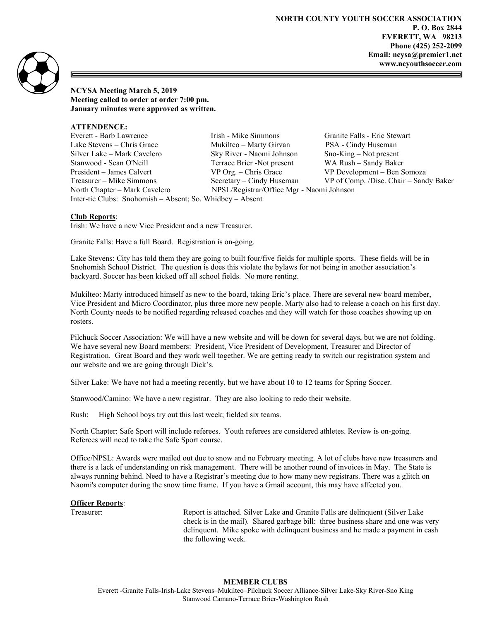

NCYSA Meeting March 5, 2019 Meeting called to order at order 7:00 pm. January minutes were approved as written.

ATTENDENCE:

Everett - Barb Lawrence Irish - Mike Simmons Granite Falls - Eric Stewart Lake Stevens – Chris Grace Mukilteo – Marty Girvan PSA - Cindy Huseman Silver Lake – Mark Cavelero Sky River - Naomi Johnson Sno-King – Not present Stanwood - Sean O'Neill Terrace Brier -Not present WA Rush – Sandy Baker President – James Calvert VP Org. – Chris Grace VP Development – Ben Somoza Treasurer – Mike Simmons Secretary – Cindy Huseman VP of Comp. /Disc. Chair – Sandy Baker North Chapter – Mark Cavelero NPSL/Registrar/Office Mgr - Naomi Johnson Inter-tie Clubs: Snohomish – Absent; So. Whidbey – Absent

## Club Reports:

Irish: We have a new Vice President and a new Treasurer.

Granite Falls: Have a full Board. Registration is on-going.

Lake Stevens: City has told them they are going to built four/five fields for multiple sports. These fields will be in Snohomish School District. The question is does this violate the bylaws for not being in another association's backyard. Soccer has been kicked off all school fields. No more renting.

Mukilteo: Marty introduced himself as new to the board, taking Eric's place. There are several new board member, Vice President and Micro Coordinator, plus three more new people. Marty also had to release a coach on his first day. North County needs to be notified regarding released coaches and they will watch for those coaches showing up on rosters.

Pilchuck Soccer Association: We will have a new website and will be down for several days, but we are not folding. We have several new Board members: President, Vice President of Development, Treasurer and Director of Registration. Great Board and they work well together. We are getting ready to switch our registration system and our website and we are going through Dick's.

Silver Lake: We have not had a meeting recently, but we have about 10 to 12 teams for Spring Soccer.

Stanwood/Camino: We have a new registrar. They are also looking to redo their website.

Rush: High School boys try out this last week; fielded six teams.

North Chapter: Safe Sport will include referees. Youth referees are considered athletes. Review is on-going. Referees will need to take the Safe Sport course.

Office/NPSL: Awards were mailed out due to snow and no February meeting. A lot of clubs have new treasurers and there is a lack of understanding on risk management. There will be another round of invoices in May. The State is always running behind. Need to have a Registrar's meeting due to how many new registrars. There was a glitch on Naomi's computer during the snow time frame. If you have a Gmail account, this may have affected you.

## **Officer Reports:**

Treasurer: Report is attached. Silver Lake and Granite Falls are delinquent (Silver Lake check is in the mail). Shared garbage bill: three business share and one was very delinquent. Mike spoke with delinquent business and he made a payment in cash the following week.

## MEMBER CLUBS